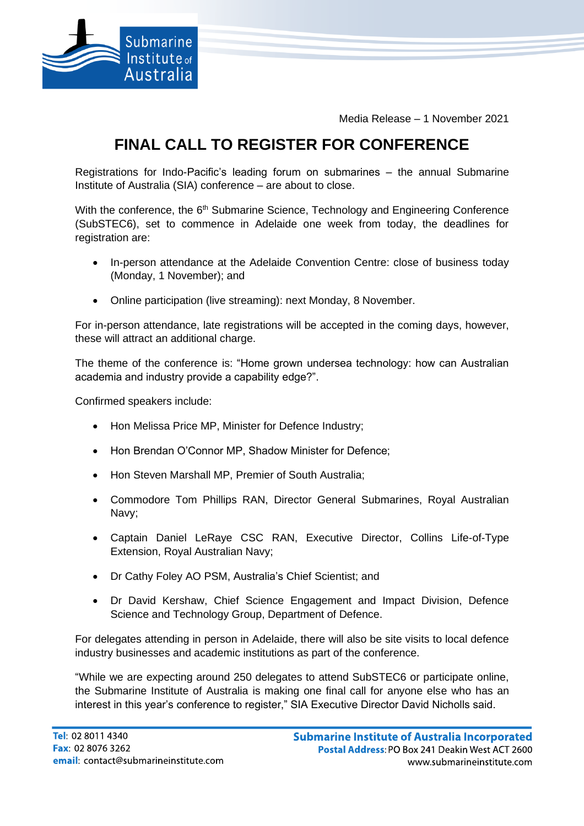

Media Release – 1 November 2021

## **FINAL CALL TO REGISTER FOR CONFERENCE**

Registrations for Indo-Pacific's leading forum on submarines – the annual Submarine Institute of Australia (SIA) conference – are about to close.

With the conference, the 6<sup>th</sup> Submarine Science, Technology and Engineering Conference (SubSTEC6), set to commence in Adelaide one week from today, the deadlines for registration are:

- In-person attendance at the Adelaide Convention Centre: close of business today (Monday, 1 November); and
- Online participation (live streaming): next Monday, 8 November.

For in-person attendance, late registrations will be accepted in the coming days, however, these will attract an additional charge.

The theme of the conference is: "Home grown undersea technology: how can Australian academia and industry provide a capability edge?".

Confirmed speakers include:

- Hon Melissa Price MP, Minister for Defence Industry;
- Hon Brendan O'Connor MP, Shadow Minister for Defence;
- Hon Steven Marshall MP, Premier of South Australia;
- Commodore Tom Phillips RAN, Director General Submarines, Royal Australian Navy;
- Captain Daniel LeRaye CSC RAN, Executive Director, Collins Life-of-Type Extension, Royal Australian Navy;
- Dr Cathy Foley AO PSM, Australia's Chief Scientist; and
- Dr David Kershaw, Chief Science Engagement and Impact Division, Defence Science and Technology Group, Department of Defence.

For delegates attending in person in Adelaide, there will also be site visits to local defence industry businesses and academic institutions as part of the conference.

"While we are expecting around 250 delegates to attend SubSTEC6 or participate online, the Submarine Institute of Australia is making one final call for anyone else who has an interest in this year's conference to register," SIA Executive Director David Nicholls said.